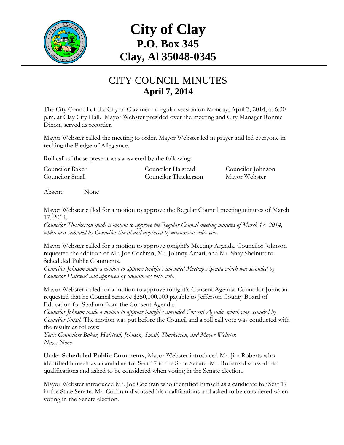

# **City of Clay P.O. Box 345 Clay, Al 35048-0345**

#### CITY COUNCIL MINUTES **April 7, 2014**

The City Council of the City of Clay met in regular session on Monday, April 7, 2014, at 6:30 p.m. at Clay City Hall. Mayor Webster presided over the meeting and City Manager Ronnie Dixon, served as recorder.

Mayor Webster called the meeting to order. Mayor Webster led in prayer and led everyone in reciting the Pledge of Allegiance.

Roll call of those present was answered by the following:

| Councilor Baker | Councilor Halstead   | Councilor Johnson |
|-----------------|----------------------|-------------------|
| Councilor Small | Councilor Thackerson | Mayor Webster     |

Absent: None

Mayor Webster called for a motion to approve the Regular Council meeting minutes of March 17, 2014.

*Councilor Thackerson made a motion to approve the Regular Council meeting minutes of March 17, 2014, which was seconded by Councilor Small and approved by unanimous voice vote.*

Mayor Webster called for a motion to approve tonight's Meeting Agenda. Councilor Johnson requested the addition of Mr. Joe Cochran, Mr. Johnny Amari, and Mr. Shay Shelnutt to Scheduled Public Comments.

*Councilor Johnson made a motion to approve tonight's amended Meeting Agenda which was seconded by Councilor Halstead and approved by unanimous voice vote.*

Mayor Webster called for a motion to approve tonight's Consent Agenda. Councilor Johnson requested that he Council remove \$250,000.000 payable to Jefferson County Board of Education for Stadium from the Consent Agenda.

*Councilor Johnson made a motion to approve tonight's amended Consent Agenda, which was seconded by Councilor Small.* The motion was put before the Council and a roll call vote was conducted with the results as follows:

*Yeas: Councilors Baker, Halstead, Johnson, Small, Thackerson, and Mayor Webster. Nays: None*

Under **Scheduled Public Comments**, Mayor Webster introduced Mr. Jim Roberts who identified himself as a candidate for Seat 17 in the State Senate. Mr. Roberts discussed his qualifications and asked to be considered when voting in the Senate election.

Mayor Webster introduced Mr. Joe Cochran who identified himself as a candidate for Seat 17 in the State Senate. Mr. Cochran discussed his qualifications and asked to be considered when voting in the Senate election.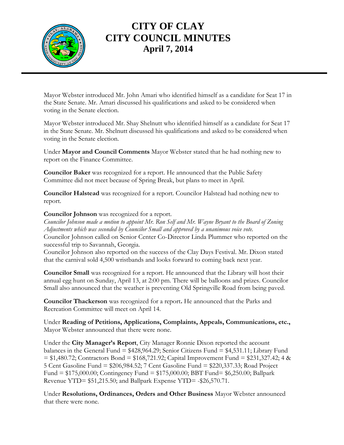

## **CITY OF CLAY CITY COUNCIL MINUTES April 7, 2014**

Mayor Webster introduced Mr. John Amari who identified himself as a candidate for Seat 17 in the State Senate. Mr. Amari discussed his qualifications and asked to be considered when voting in the Senate election.

Mayor Webster introduced Mr. Shay Shelnutt who identified himself as a candidate for Seat 17 in the State Senate. Mr. Shelnutt discussed his qualifications and asked to be considered when voting in the Senate election.

Under **Mayor and Council Comments** Mayor Webster stated that he had nothing new to report on the Finance Committee.

**Councilor Baker** was recognized for a report. He announced that the Public Safety Committee did not meet because of Spring Break, but plans to meet in April.

**Councilor Halstead** was recognized for a report. Councilor Halstead had nothing new to report.

#### **Councilor Johnson** was recognized for a report.

*Councilor Johnson made a motion to appoint Mr. Ron Self and Mr. Wayne Bryant to the Board of Zoning Adjustments which was seconded by Councilor Small and approved by a unanimous voice vote.* Councilor Johnson called on Senior Center Co-Director Linda Plummer who reported on the successful trip to Savannah, Georgia.

Councilor Johnson also reported on the success of the Clay Days Festival. Mr. Dixon stated that the carnival sold 4,500 wristbands and looks forward to coming back next year.

**Councilor Small** was recognized for a report. He announced that the Library will host their annual egg hunt on Sunday, April 13, at 2:00 pm. There will be balloons and prizes. Councilor Small also announced that the weather is preventing Old Springville Road from being paved.

**Councilor Thackerson** was recognized for a report**.** He announced that the Parks and Recreation Committee will meet on April 14.

Under **Reading of Petitions, Applications, Complaints, Appeals, Communications, etc.,** Mayor Webster announced that there were none.

Under the **City Manager's Report**, City Manager Ronnie Dixon reported the account balances in the General Fund = \$428,964.29; Senior Citizens Fund = \$4,531.11; Library Fund  $= $1,480.72$ ; Contractors Bond  $= $168,721.92$ ; Capital Improvement Fund  $= $231,327.42$ ; 4 & 5 Cent Gasoline Fund = \$206,984.52; 7 Cent Gasoline Fund = \$220,337.33; Road Project Fund = \$175,000.00; Contingency Fund = \$175,000.00; BBT Fund= \$6,250.00; Ballpark Revenue YTD= \$51,215.50; and Ballpark Expense YTD= -\$26,570.71.

Under **Resolutions, Ordinances, Orders and Other Business** Mayor Webster announced that there were none.